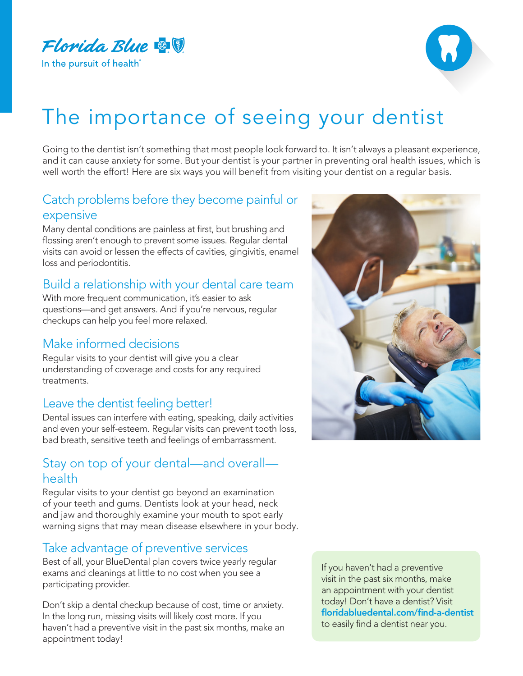



# The importance of seeing your dentist

Going to the dentist isn't something that most people look forward to. It isn't always a pleasant experience, and it can cause anxiety for some. But your dentist is your partner in preventing oral health issues, which is well worth the effort! Here are six ways you will benefit from visiting your dentist on a regular basis.

## Catch problems before they become painful or expensive

Many dental conditions are painless at first, but brushing and flossing aren't enough to prevent some issues. Regular dental visits can avoid or lessen the effects of cavities, gingivitis, enamel loss and periodontitis.

### Build a relationship with your dental care team

With more frequent communication, it's easier to ask questions—and get answers. And if you're nervous, regular checkups can help you feel more relaxed.

### Make informed decisions

Regular visits to your dentist will give you a clear understanding of coverage and costs for any required treatments.

### Leave the dentist feeling better!

Dental issues can interfere with eating, speaking, daily activities and even your self-esteem. Regular visits can prevent tooth loss, bad breath, sensitive teeth and feelings of embarrassment.

## Stay on top of your dental—and overall health

Regular visits to your dentist go beyond an examination of your teeth and gums. Dentists look at your head, neck and jaw and thoroughly examine your mouth to spot early warning signs that may mean disease elsewhere in your body.

### Take advantage of preventive services

Best of all, your BlueDental plan covers twice yearly regular exams and cleanings at little to no cost when you see a participating provider.

Don't skip a dental checkup because of cost, time or anxiety. In the long run, missing visits will likely cost more. If you haven't had a preventive visit in the past six months, make an appointment today!



If you haven't had a preventive visit in the past six months, make an appointment with your dentist today! Don't have a dentist? Visit floridabluedental.com/find-a-dentist to easily find a dentist near you.